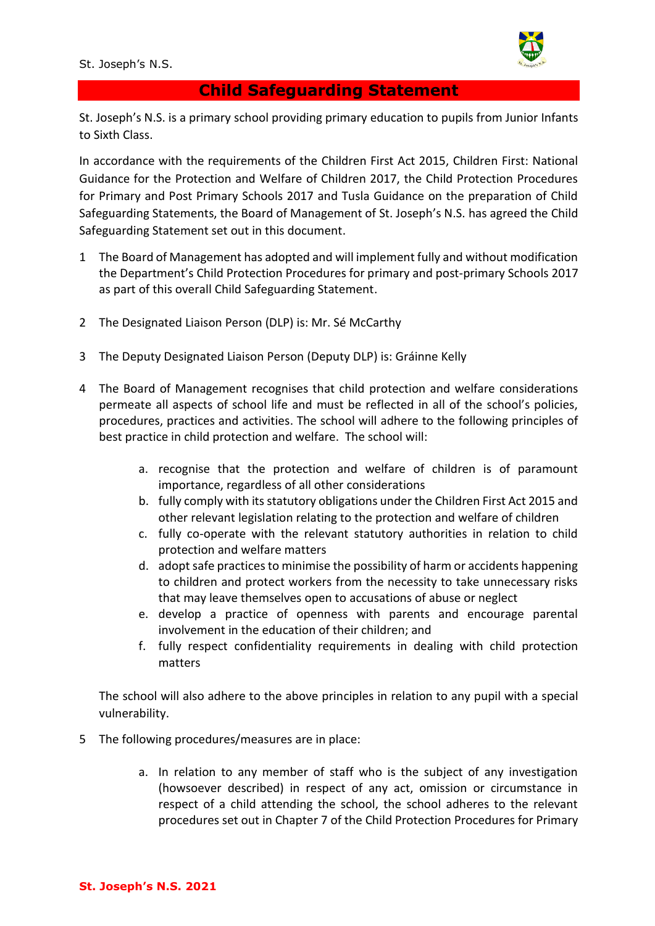St. Joseph's N.S.



## **Child Safeguarding Statement**

St. Joseph's N.S. is a primary school providing primary education to pupils from Junior Infants to Sixth Class.

In accordance with the requirements of the Children First Act 2015, Children First: National Guidance for the Protection and Welfare of Children 2017, the Child Protection Procedures for Primary and Post Primary Schools 2017 and Tusla Guidance on the preparation of Child Safeguarding Statements, the Board of Management of St. Joseph's N.S. has agreed the Child Safeguarding Statement set out in this document.

- 1 The Board of Management has adopted and will implement fully and without modification the Department's Child Protection Procedures for primary and post-primary Schools 2017 as part of this overall Child Safeguarding Statement.
- 2 The Designated Liaison Person (DLP) is: Mr. Sé McCarthy
- 3 The Deputy Designated Liaison Person (Deputy DLP) is: Gráinne Kelly
- 4 The Board of Management recognises that child protection and welfare considerations permeate all aspects of school life and must be reflected in all of the school's policies, procedures, practices and activities. The school will adhere to the following principles of best practice in child protection and welfare. The school will:
	- a. recognise that the protection and welfare of children is of paramount importance, regardless of all other considerations
	- b. fully comply with its statutory obligations under the Children First Act 2015 and other relevant legislation relating to the protection and welfare of children
	- c. fully co-operate with the relevant statutory authorities in relation to child protection and welfare matters
	- d. adopt safe practices to minimise the possibility of harm or accidents happening to children and protect workers from the necessity to take unnecessary risks that may leave themselves open to accusations of abuse or neglect
	- e. develop a practice of openness with parents and encourage parental involvement in the education of their children; and
	- f. fully respect confidentiality requirements in dealing with child protection matters

The school will also adhere to the above principles in relation to any pupil with a special vulnerability.

- 5 The following procedures/measures are in place:
	- a. In relation to any member of staff who is the subject of any investigation (howsoever described) in respect of any act, omission or circumstance in respect of a child attending the school, the school adheres to the relevant procedures set out in Chapter 7 of the Child Protection Procedures for Primary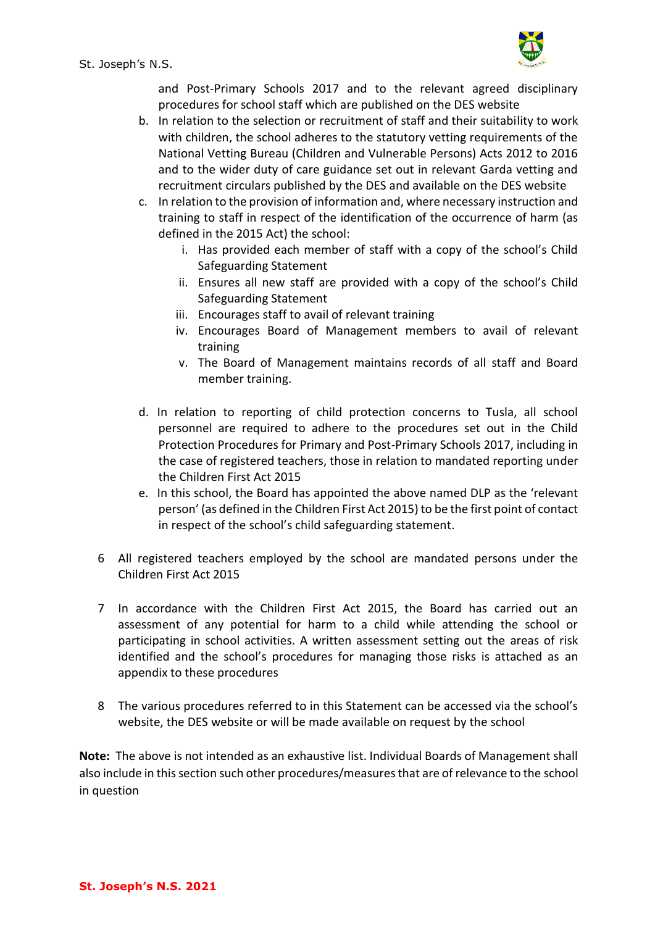

St. Joseph's N.S.

and Post-Primary Schools 2017 and to the relevant agreed disciplinary procedures for school staff which are published on the DES website

- b. In relation to the selection or recruitment of staff and their suitability to work with children, the school adheres to the statutory vetting requirements of the National Vetting Bureau (Children and Vulnerable Persons) Acts 2012 to 2016 and to the wider duty of care guidance set out in relevant Garda vetting and recruitment circulars published by the DES and available on the DES website
- c. In relation to the provision of information and, where necessary instruction and training to staff in respect of the identification of the occurrence of harm (as defined in the 2015 Act) the school:
	- i. Has provided each member of staff with a copy of the school's Child Safeguarding Statement
	- ii. Ensures all new staff are provided with a copy of the school's Child Safeguarding Statement
	- iii. Encourages staff to avail of relevant training
	- iv. Encourages Board of Management members to avail of relevant training
	- v. The Board of Management maintains records of all staff and Board member training.
- d. In relation to reporting of child protection concerns to Tusla, all school personnel are required to adhere to the procedures set out in the Child Protection Procedures for Primary and Post-Primary Schools 2017, including in the case of registered teachers, those in relation to mandated reporting under the Children First Act 2015
- e. In this school, the Board has appointed the above named DLP as the 'relevant person' (as defined in the Children First Act 2015) to be the first point of contact in respect of the school's child safeguarding statement.
- 6 All registered teachers employed by the school are mandated persons under the Children First Act 2015
- 7 In accordance with the Children First Act 2015, the Board has carried out an assessment of any potential for harm to a child while attending the school or participating in school activities. A written assessment setting out the areas of risk identified and the school's procedures for managing those risks is attached as an appendix to these procedures
- 8 The various procedures referred to in this Statement can be accessed via the school's website, the DES website or will be made available on request by the school

**Note:** The above is not intended as an exhaustive list. Individual Boards of Management shall also include in this section such other procedures/measures that are of relevance to the school in question